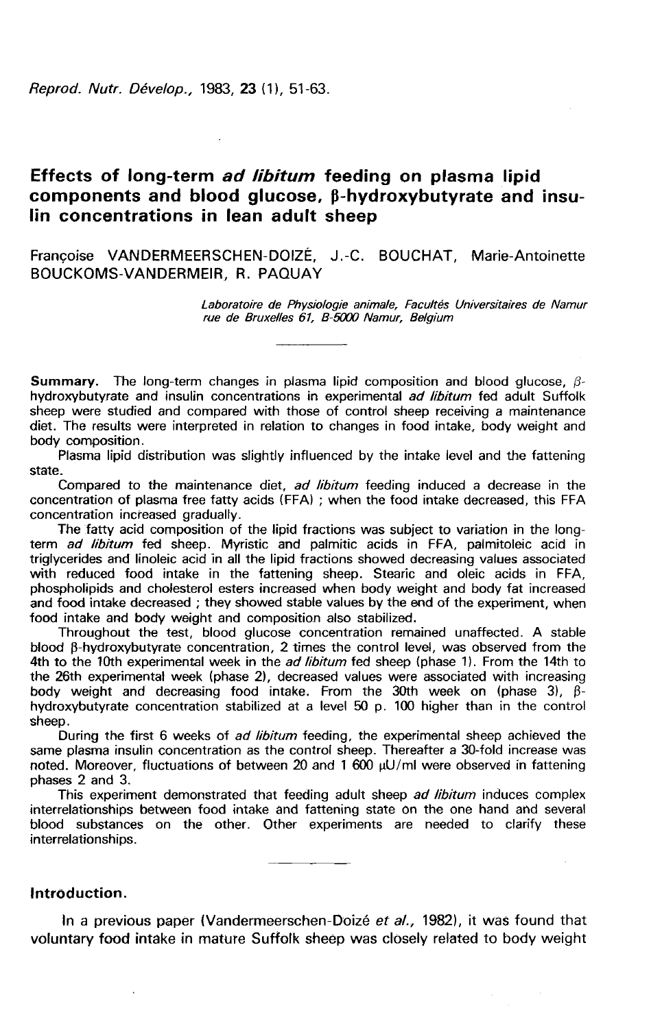Reprod. Nutr. Dévelop., 1983, 23 (1), 51-63.

# Effects of long-term ad libitum feeding on plasma lipid components and blood glucose, β-hydroxybutyrate and insulin concentrations in lean adult sheep

Françoise VANDERMEERSCHEN-DOIZÉ, J.-C. BOUCHAT, Marie-Antoinette BOUCKOMS-VANDERMEIR. R. PAQUAY

> Laboratoire de Physiologie animale, Facultés Universitaires de Namur rue de Bruxelles 61, B-5000 Namur, Belgium

**Summary.** The long-term changes in plasma lipid composition and blood glucose,  $\beta$ hydroxybutyrate and insulin concentrations in experimental *ad libitum* fed adult Suffolk sheep were studied and compared with those of control sheep receiving a maintenance diet. The results were interpreted in relation to changes in food intake, body weight and body composition.

Plasma lipid distribution was slightly influenced by the intake level and the fattening state.

Compared to the maintenance diet, ad libitum feeding induced a decrease in the concentration of plasma free fatty acids (FFA) ; when the food intake decreased, this FFA concentration increased gradually.<br>The fatty acid composition of the lipid fractions was subject to variation in the long-

term ad libitum fed sheep. Myristic and palmitic acids in FFA, palmitoleic acid in triglycerides and linoleic acid in all the lipid fractions showed decreasing values associated with reduced food intake in the fattening sheep. Stearic and oleic acids in FFA, phospholipids and cholesterol esters increased when body weight and body fat increased and food intake decreased ; they showed stable values by the end of the experiment, when food intake and body weight and composition also stabilized.

Throughout the test, blood glucose concentration remained unaffected. A stable blood  $\beta$ -hydroxybutyrate concentration, 2 times the control level, was observed from the 4th to the 10th experimental week in the *ad libitum* fed sheep (phase 1). From the 14th to the 26th experimental week (phase 2), decreased values were associated with increasing body weight and decreasing food intake. From the 30th week on (phase 3),  $\beta$ hydroxybutyrate concentration stabilized at a level 50 p. 100 higher than in the control sheep.

Puring the first 6 weeks of *ad libitum* feeding, the experimental sheep achieved the same plasma insulin concentration as the control sheep. Thereafter a 30-fold increase was noted. Moreover, fluctuations of between 20 and 1 600  $\mu$ U/ml were observed in fattening phases 2 and 3.

This experiment demonstrated that feeding adult sheep ad libitum induces complex interrelationships between food intake and fattening state on the one hand and several blood substances on the other. Other experiments are needed to clarify these interrelationships.

## Introduction.

In a previous paper (Vandermeerschen-Doizé et al., 1982), it was found that voluntary food intake in mature Suffolk sheep was closely related to body weight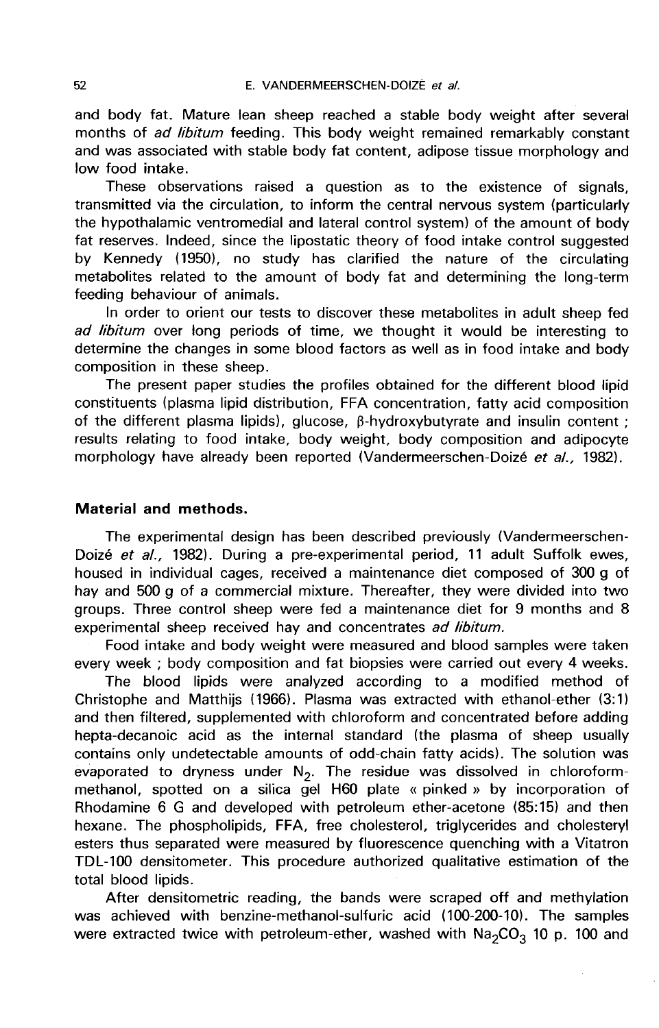and body fat. Mature lean sheep reached a stable body weight after several months of *ad libitum* feeding. This body weight remained remarkably constant and was associated with stable body fat content, adipose tissue morphology and low food intake.

These observations raised a question as to the existence of signals, transmitted via the circulation, to inform the central nervous system (particularly the hypothalamic ventromedial and lateral control system) of the amount of body fat reserves. Indeed, since the lipostatic theory of food intake control suggested by Kennedy (1950), no study has clarified the nature of the circulating metabolites related to the amount of body fat and determining the long-term feeding behaviour of animals.

In order to orient our tests to discover these metabolites in adult sheep fed ad libitum over long periods of time, we thought it would be interesting to determine the changes in some blood factors as well as in food intake and body composition in these sheep.

The present paper studies the profiles obtained for the different blood lipid constituents (plasma lipid distribution, FFA concentration, fatty acid composition of the different plasma lipids), glucose,  $\beta$ -hydroxybutyrate and insulin content ; results relating to food intake, body weight, body composition and adipocyte morphology have already been reported (Vandermeerschen-Doizé et al., 1982).

#### Material and methods.

The experimental design has been described previously (Vandermeerschen-Doizé et al., 1982). During a pre-experimental period, 11 adult Suffolk ewes, housed in individual cages, received a maintenance diet composed of 300 g of hay and 500 g of a commercial mixture. Thereafter, they were divided into two groups. Three control sheep were fed a maintenance diet for 9 months and 8 experimental sheep received hay and concentrates ad libitum.

Food intake and body weight were measured and blood samples were taken every week ; body composition and fat biopsies were carried out every 4 weeks.

The blood lipids were analyzed according to a modified method of Christophe and Matthijs (1966). Plasma was extracted with ethanol-ether (3:1) and then filtered, supplemented with chloroform and concentrated before adding hepta-decanoic acid as the internal standard (the plasma of sheep usually contains only undetectable amounts of odd-chain fatty acids). The solution was evaporated to dryness under  $N_2$ . The residue was dissolved in chloroform-<br>methanol, spotted on a silica gel H60 plate « pinked » by incorporation of Rhodamine 6 G and developed with petroleum ether-acetone (85:15) and then hexane. The phospholipids, FFA, free cholesterol, triglycerides and cholesteryl esters thus separated were measured by fluorescence quenching with a Vitatron TDL-100 densitometer. This procedure authorized qualitative estimation of the total blood lipids.

After densitometric reading, the bands were scraped off and methylation was achieved with benzine-methanol-sulfuric acid (100-200-10). The samples were extracted twice with petroleum-ether, washed with  $Na_2CO_3$  10 p. 100 and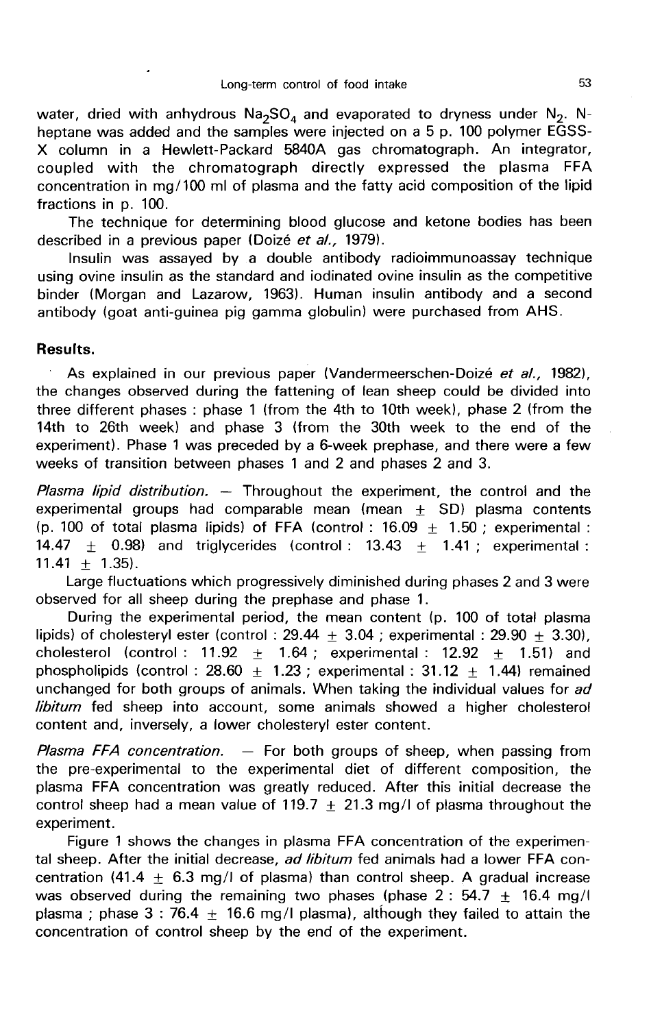Long-term control of food intake<br>water, dried with anhydrous Na<sub>2</sub>SO<sub>4</sub> and evaporated to dryness under N<sub>2</sub>. N-<br>heptane was added and the samples were injected on a 5 p. 100 polymer EGSS-X column in a Hewlett-Packard 5840A gas chromatograph. An integrator, coupled with the chromatograph directly expressed the plasma FFA concentration in mg/100 ml of plasma and the fatty acid composition of the lipid fractions in p. 100.

The technique for determining blood glucose and ketone bodies has been described in a previous paper (Doizé et al., 1979).

Insulin was assayed by a double antibody radioimmunoassay technique using ovine insulin as the standard and iodinated ovine insulin as the competitive binder (Morgan and Lazarow, 1963). Human insulin antibody and a second antibody (goat anti-guinea pig gamma globulin) were purchased from AHS.

### Results.

As explained in our previous paper (Vandermeerschen-Doizé et al., 1982), the changes observed during the fattening of lean sheep could be divided into three different phases : phase 1 (from the 4th to 10th week), phase 2 (from the 14th to 26th week) and phase 3 (from the 30th week to the end of the experiment). Phase 1 was preceded by a 6-week prephase, and there were a few weeks of transition between phases 1 and 2 and phases 2 and 3.

Plasma lipid distribution.  $-$  Throughout the experiment, the control and the experimental groups had comparable mean  $(mear + SD)$  plasma contents (p. 100 of total plasma lipids) of FFA (control : 16.09  $\pm$  1.50 ; experimental : 14.47  $\pm$  0.98) and triglycerides (control: 13.43  $\pm$  1.41; experimental:  $11.41 + 1.35$ ).

Large fluctuations which progressively diminished during phases 2 and 3 were observed for all sheep during the prephase and phase 1.

During the experimental period, the mean content (p. 100 of total plasma lipids) of cholesteryl ester (control : 29.44  $\pm$  3.04 ; experimental : 29.90  $\pm$  3.30), cholesterol (control : 11.92  $\pm$  1.64 ; experimental : 12.92  $\pm$  1.51) and phospholipids (control : 28.60  $\pm$  1.23 ; experimental : 31.12  $\pm$  1.44) remained unchanged for both groups of animals. When taking the individual values for ad libitum fed sheep into account, some animals showed a higher cholesterol content and, inversely, a lower cholesteryl ester content.

Plasma FFA concentration.  $-$  For both groups of sheep, when passing from the pre-experimental to the experimental diet of different composition, the plasma FFA concentration was greatly reduced. After this initial decrease the control sheep had a mean value of 119.7  $+$  21.3 mg/l of plasma throughout the experiment.

Figure 1 shows the changes in plasma FFA concentration of the experimental sheep. After the initial decrease, ad libitum fed animals had a lower FFA concentration (41.4  $\pm$  6.3 mg/l of plasma) than control sheep. A gradual increase was observed during the remaining two phases (phase  $2: 54.7 \pm 16.4$  mg/l plasma; phase 3 : 76.4  $\pm$  16.6 mg/l plasma), although they failed to attain the concentration of control sheep by the end of the experiment.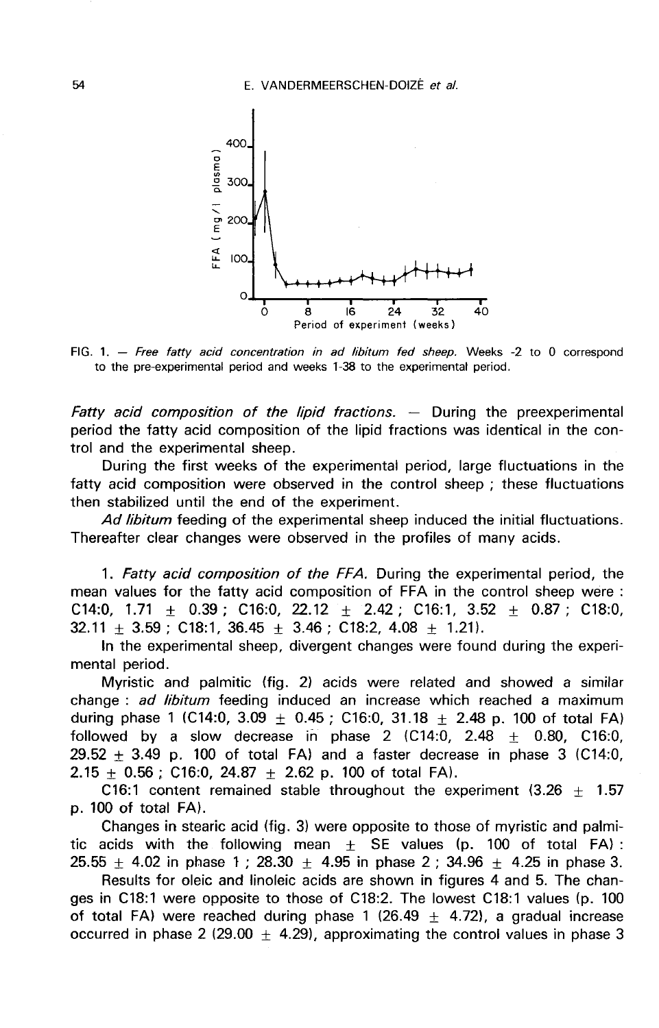

FIG. 1. - Free fatty acid concentration in ad libitum fed sheep. Weeks -2 to 0 correspond to the pre-experimental period and weeks 1-38 to the experimental period.

Fatty acid composition of the lipid fractions.  $-$  During the preexperimental period the fatty acid composition of the lipid fractions was identical in the control and the experimental sheep.

During the first weeks of the experimental period, large fluctuations in the fatty acid composition were observed in the control sheep ; these fluctuations then stabilized until the end of the experiment.

Ad libitum feeding of the experimental sheep induced the initial fluctuations. Thereafter clear changes were observed in the profiles of many acids.

1. Fatty acid composition of the FFA. During the experimental period, the mean values for the fatty acid composition of FFA in the control sheep were : C14:0, 1.71  $\pm$  0.39; C16:0, 22.12  $\pm$  2.42; C16:1, 3.52  $\pm$  0.87; C18:0,  $32.11 + 3.59$ : C18:1,  $36.45 + 3.46$ : C18:2,  $4.08 + 1.21$ .

In the experimental sheep, divergent changes were found during the experimental period.

Myristic and palmitic (fig. 2) acids were related and showed a similar change : ad libitum feeding induced an increase which reached a maximum during phase 1 (C14:0, 3.09  $\pm$  0.45; C16:0, 31.18  $\pm$  2.48 p. 100 of total FA) followed by a slow decrease in phase 2 (C14:0, 2.48  $\pm$  0.80, C16:0, 29.52  $\pm$  3.49 p. 100 of total FA) and a faster decrease in phase 3 (C14:0, 2.15  $\pm$  0.56; C16:0, 24.87  $\pm$  2.62 p. 100 of total FA).

C16:1 content remained stable throughout the experiment (3.26  $\pm$  1.57 p. 100 of total FA).

Changes in stearic acid (fig. 3) were opposite to those of myristic and palmitic acids with the following mean  $\pm$  SE values (p. 100 of total FA): 25.55  $\pm$  4.02 in phase 1 ; 28.30  $\pm$  4.95 in phase 2 ; 34.96  $\pm$  4.25 in phase 3.

Results for oleic and linoleic acids are shown in figures 4 and 5. The changes in C18:1 were opposite to those of C18:2. The lowest C18:1 values (p. 100 of total FA) were reached during phase 1 (26.49  $\pm$  4.72), a gradual increase occurred in phase 2 (29.00  $\pm$  4.29), approximating the control values in phase 3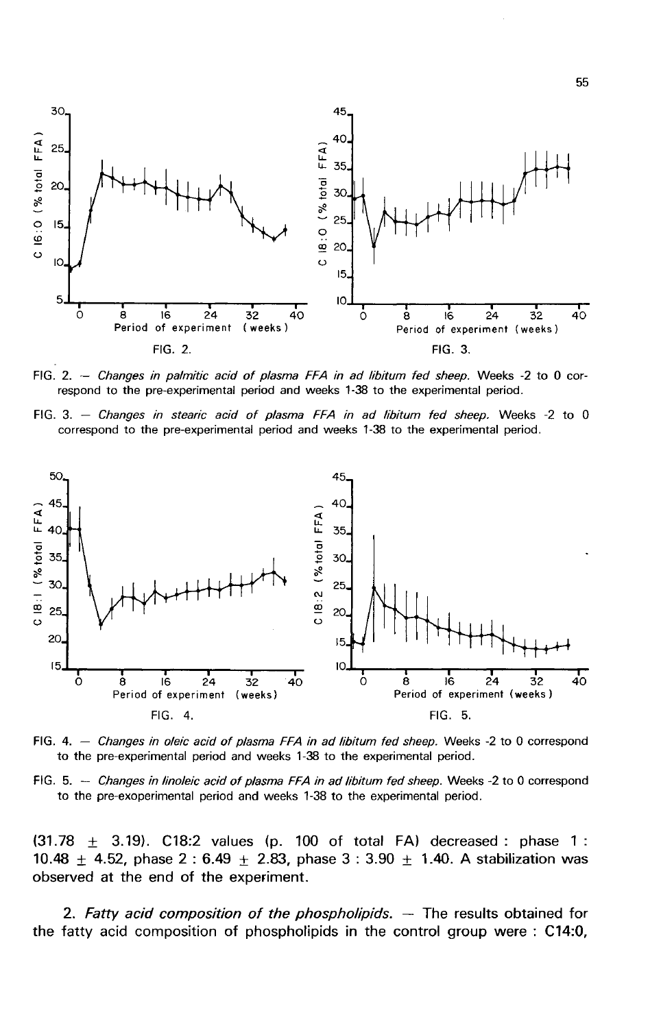

FIG. 2. - Changes in palmitic acid of plasma FFA in ad libitum fed sheep. Weeks -2 to 0 correspond to the pre-experimental period and weeks 1-38 to the experimental period.

FIG. 3. - Changes in stearic acid of plasma FFA in ad libitum fed sheep. Weeks -2 to 0 correspond to the pre-experimental period and weeks 1-38 to the experimental period.



FIG. 4.  $-$  Changes in oleic acid of plasma FFA in ad libitum fed sheep. Weeks -2 to 0 correspond to the pre-experimental period and weeks 1-38 to the experimental period.

FIG. 5. -- Changes in linoleic acid of plasma FFA in ad libitum fed sheep. Weeks -2 to 0 correspond to the pre-exoperimental period and weeks 1-38 to the experimental period.

 $(31.78 \pm 3.19)$ . C18:2 values (p. 100 of total FA) decreased : phase 1 : 10.48  $\pm$  4.52, phase 2 : 6.49  $\pm$  2.83, phase 3 : 3.90  $\pm$  1.40. A stabilization was observed at the end of the experiment.

2. Fatty acid composition of the phospholipids.  $-$  The results obtained for the fatty acid composition of phospholipids in the control group were : C14:0,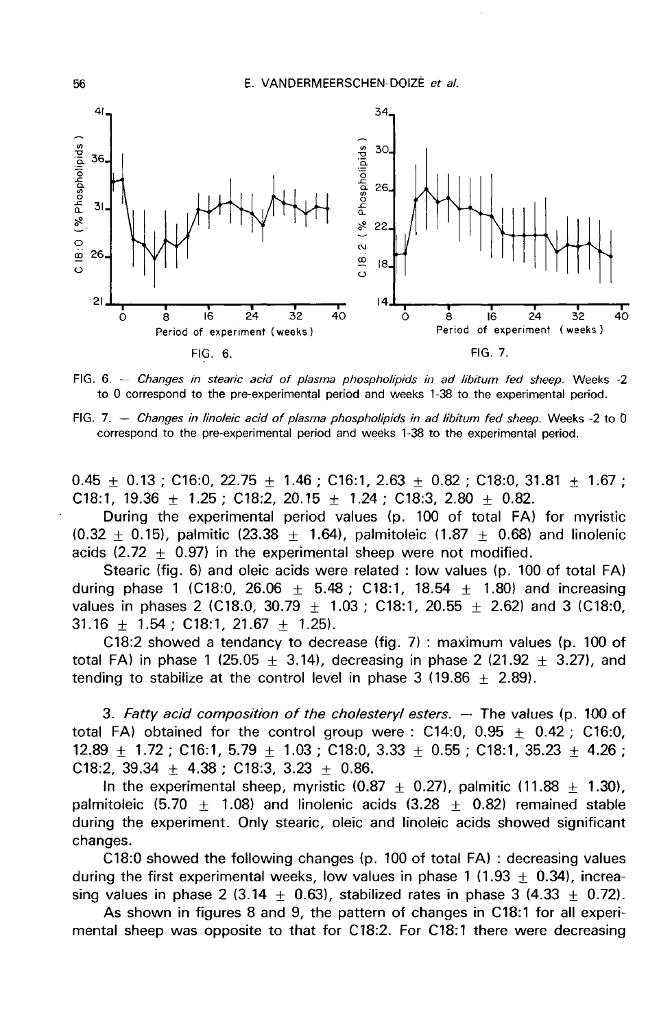E. VANDERMEERSCHEN-DOIZÉ et al.



FIG. 6. - Changes in stearic acid of plasma phospholipids in ad libitum fed sheep. Weeks -2 to 0 correspond to the pre-experimental period and weeks 1-38 to the experimental period.

FIG. 7. - Changes in linoleic acid of plasma phospholipids in ad libitum fed sheep. Weeks -2 to 0 correspond to the pre-experimental period and weeks 1-38 to the experimental period.

0.45  $\pm$  0.13 ; C16:0, 22.75  $\pm$  1.46 ; C16:1, 2.63  $\pm$  0.82 ; C18:0, 31.81  $\pm$  1.67 ; C18:1, 19.36  $\pm$  1.25; C18:2, 20.15  $\pm$  1.24; C18:3, 2.80  $\pm$  0.82.

During the experimental period values (p. 100 of total FA) for myristic  $(0.32 \pm 0.15)$ , palmitic (23.38  $\pm$  1.64), palmitoleic (1.87  $\pm$  0.68) and linolenic acids (2.72  $\pm$  0.97) in the experimental sheep were not modified.

Stearic (fig. 6) and oleic acids were related : low values (p. 100 of total FA) during phase 1 (C18:0, 26.06  $+$  5.48 ; C18:1, 18.54  $+$  1.80) and increasing values in phases 2 (C18.0, 30.79  $+$  1.03 ; C18:1, 20.55  $+$  2.62) and 3 (C18:0,  $31.16 \pm 1.54$ ; C18:1, 21.67 + 1.25).

C18:2 showed a tendancy to decrease (fig. 7) : maximum values (p. 100 of total FA) in phase 1 (25.05  $\pm$  3.14), decreasing in phase 2 (21.92  $\pm$  3.27), and tending to stabilize at the control level in phase  $3$  (19.86 + 2.89).

3. Fatty acid composition of the cholesteryl esters.  $-$  The values (p. 100 of total FA) obtained for the control group were : C14:0, 0.95  $\pm$  0.42 ; C16:0, 12.89  $\pm$  1.72 ; C16:1, 5.79  $\pm$  1.03 ; C18:0, 3.33  $\pm$  0.55 ; C18:1, 35.23  $\pm$  4.26 ; C18:2, 39.34  $\pm$  4.38; C18:3, 3.23  $\pm$  0.86.

In the experimental sheep, myristic  $(0.87 \pm 0.27)$ , palmitic  $(11.88 + 1.30)$ , palmitoleic (5.70  $\pm$  1.08) and linolenic acids (3.28  $\pm$  0.82) remained stable during the experiment. Only stearic, oleic and linoleic acids showed significant changes.

C18:0 showed the following changes (p. 100 of total FA) : decreasing values during the first experimental weeks, low values in phase 1 (1.93  $\pm$  0.34), increasing values in phase 2 (3.14  $+$  0.63), stabilized rates in phase 3 (4.33  $+$  0.72).

As shown in figures 8 and 9, the pattern of changes in C18:1 for all experimental sheep was opposite to that for C18:2. For C18:1 there were decreasing

56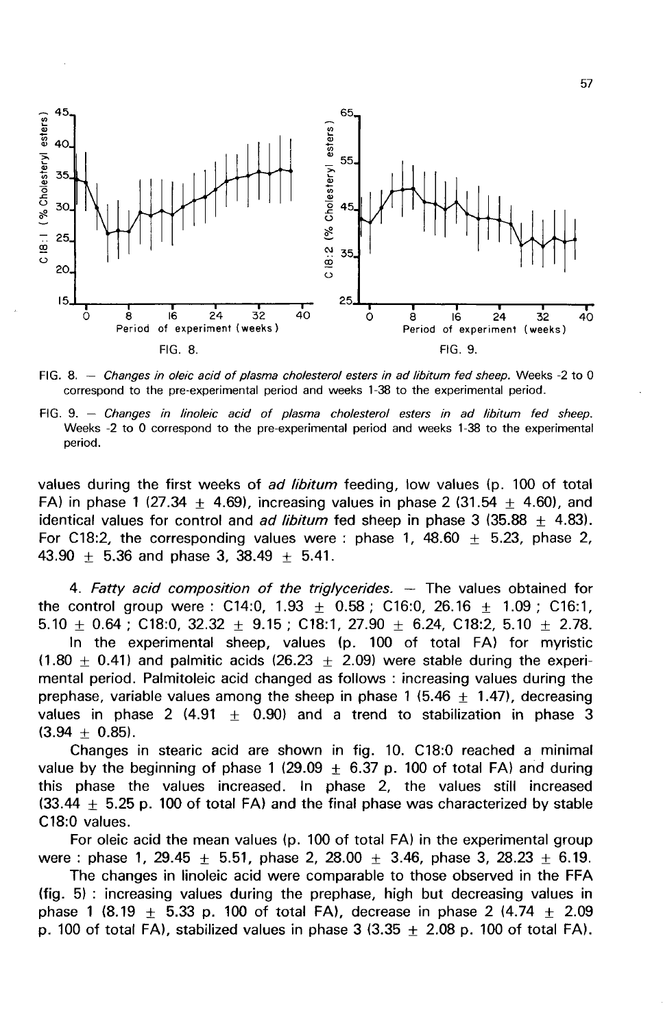

FIG. 8. - Changes in oleic acid of plasma cholesterol esters in ad libitum fed sheep. Weeks -2 to 0 correspond to the pre-experimental period and weeks 1-38 to the experimental period.

FIG. 9. - Changes in linoleic acid of plasma cholesterol esters in ad libitum fed sheep. Weeks -2 to 0 correspond to the pre-experimental period and weeks 1-38 to the experimental period.

values during the first weeks of *ad libitum* feeding, low values (p. 100 of total FA) in phase 1 (27.34  $+$  4.69), increasing values in phase 2 (31.54  $+$  4.60), and identical values for control and *ad libitum* fed sheep in phase 3 (35.88  $\pm$  4.83). For C18:2, the corresponding values were : phase  $1, 48.60 + 5.23$ , phase 2, 43.90  $\pm$  5.36 and phase 3, 38.49  $\pm$  5.41.

4. Fatty acid composition of the triglycerides.  $-$  The values obtained for the control group were :  $C14:0$ ,  $1.93 \pm 0.58$ ;  $C16:0$ ,  $26.16 \pm 1.09$ ;  $C16:1$ , 5.10  $\pm$  0.64; C18:0, 32.32  $\pm$  9.15; C18:1, 27.90  $\pm$  6.24, C18:2, 5.10  $\pm$  2.78.

In the experimental sheep, values (p. 100 of total FA) for myristic  $(1.80 \pm 0.41)$  and palmitic acids (26.23  $\pm$  2.09) were stable during the experimental period. Palmitoleic acid changed as follows : increasing values during the prephase, variable values among the sheep in phase 1 (5.46  $\pm$  1.47), decreasing values in phase 2 (4.91  $\pm$  0.90) and a trend to stabilization in phase 3  $(3.94 \pm 0.85)$ .

Changes in stearic acid are shown in fig. 10. C18:0 reached a minimal value by the beginning of phase 1 (29.09  $\pm$  6.37 p. 100 of total FA) and during this phase the values increased. In phase 2, the values still increased (33.44  $\pm$  5.25 p. 100 of total FA) and the final phase was characterized by stable C18:0 values.

For oleic acid the mean values (p. 100 of total FA) in the experimental group were : phase 1, 29.45  $\pm$  5.51, phase 2, 28.00  $\pm$  3.46, phase 3, 28.23  $\pm$  6.19.

The changes in linoleic acid were comparable to those observed in the FFA (fig. 5) : increasing values during the prephase, high but decreasing values in phase 1 (8.19  $\pm$  5.33 p. 100 of total FA), decrease in phase 2 (4.74  $\pm$  2.09 p. 100 of total FA), stabilized values in phase  $3(3.35 \pm 2.08)$  p. 100 of total FA).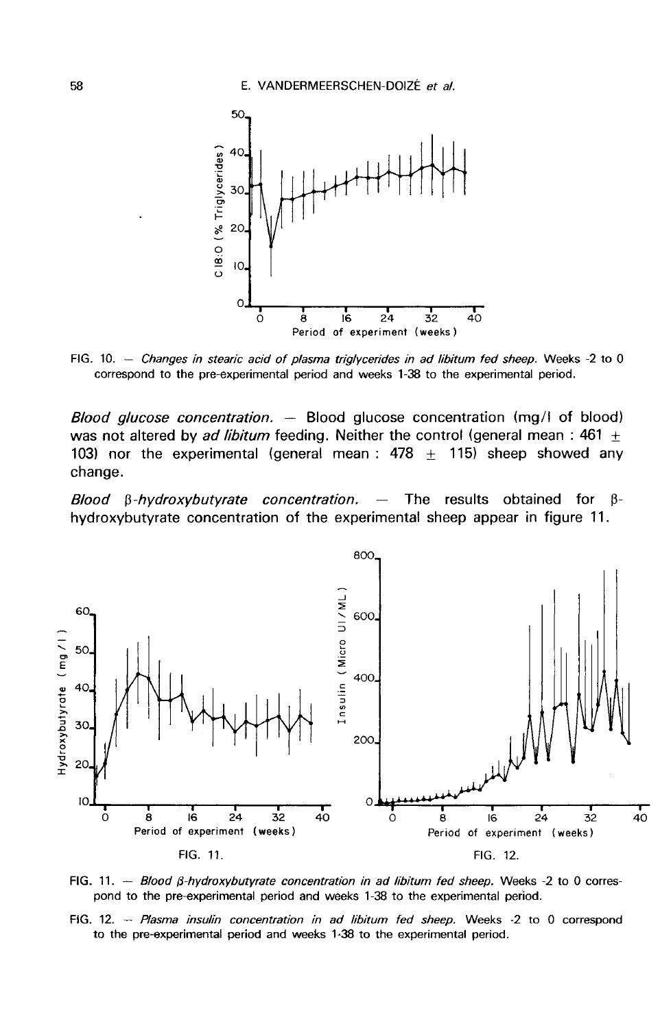

FIG. 10. - Changes in stearic acid of plasma triglycerides in ad libitum fed sheep. Weeks -2 to 0 correspond to the pre-experimental period and weeks 1-38 to the experimental period.

Blood glucose concentration. — Blood glucose concentration (mg/I of blood) was not altered by ad libitum feeding. Neither the control (general mean : 461  $\pm$ 103) nor the experimental (general mean : 478  $\pm$  115) sheep showed any change.

Blood  $\beta$ -hydroxybutyrate concentration. — The results obtained for  $\beta$ hydroxybutyrate concentration of the experimental sheep appear in figure 11.



FIG. 11. - Blood  $\beta$ -hydroxybutyrate concentration in ad libitum fed sheep. Weeks -2 to 0 correspond to the pre-experimental period and weeks 1-38 to the experimental period.

FIG. 12. - Plasma insulin concentration in ad libitum fed sheep. Weeks -2 to 0 correspond to the pre-experimental period and weeks 1-38 to the experimental period.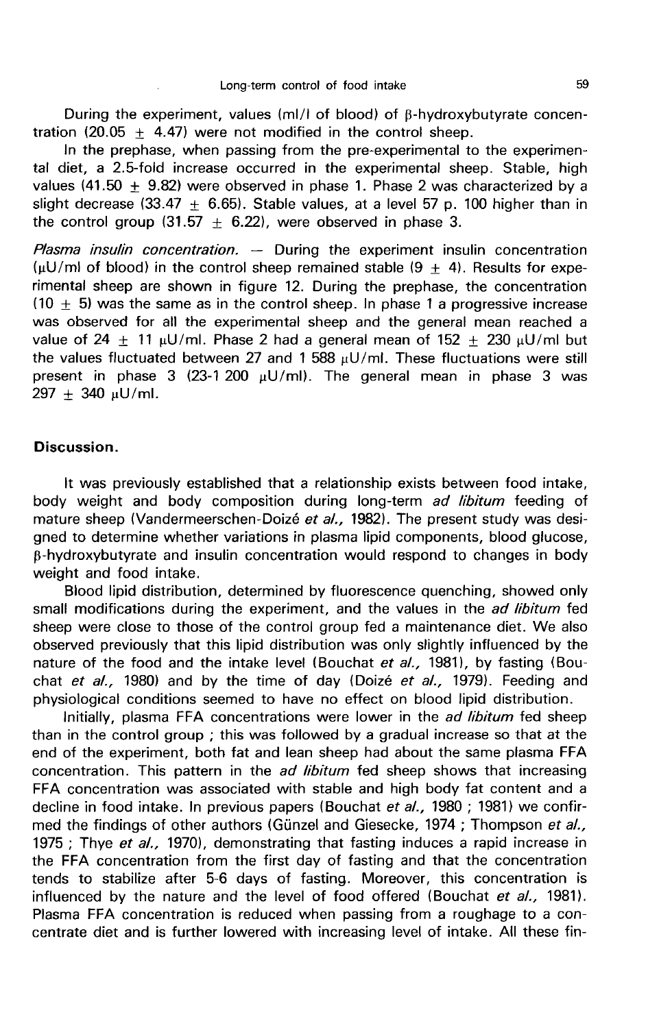During the experiment, values ( $m/d$  of blood) of  $\beta$ -hydroxybutyrate concentration (20.05  $\pm$  4.47) were not modified in the control sheep.

In the prephase, when passing from the pre-experimental to the experimental diet, a 2.5-fold increase occurred in the experimental sheep. Stable, high values (41.50  $\pm$  9.82) were observed in phase 1. Phase 2 was characterized by a slight decrease (33.47  $\pm$  6.65). Stable values, at a level 57 p. 100 higher than in the control group (31.57  $\pm$  6.22), were observed in phase 3.

Plasma insulin concentration. — During the experiment insulin concentration ( $\mu$ U/ml of blood) in the control sheep remained stable (9  $\pm$  4). Results for experimental sheep are shown in figure 12. During the prephase, the concentration  $(10 \pm 5)$  was the same as in the control sheep. In phase 1 a progressive increase was observed for all the experimental sheep and the general mean reached a value of 24  $\pm$  11  $\mu$ U/ml. Phase 2 had a general mean of 152  $\pm$  230  $\mu$ U/ml but the values fluctuated between 27 and 1 588  $\mu$ U/ml. These fluctuations were still present in phase 3 (23-1 200  $\mu$ U/ml). The general mean in phase 3 was  $297 + 340$  µU/ml.

### Discussion.

It was previously established that a relationship exists between food intake, body weight and body composition during long-term ad libitum feeding of mature sheep (Vandermeerschen-Doizé et al., 1982). The present study was designed to determine whether variations in plasma lipid components, blood glucose, p-hydroxybutyrate and insulin concentration would respond to changes in body weight and food intake.

Blood lipid distribution, determined by fluorescence quenching, showed only small modifications during the experiment, and the values in the *ad libitum* fed sheep were close to those of the control group fed a maintenance diet. We also observed previously that this lipid distribution was only slightly influenced by the nature of the food and the intake level (Bouchat et  $al.$ , 1981), by fasting (Bouchat et  $aL$ , 1980) and by the time of day (Doizé et  $aL$ , 1979). Feeding and physiological conditions seemed to have no effect on blood lipid distribution.

Initially, plasma FFA concentrations were lower in the *ad libitum* fed sheep than in the control group ; this was followed by a gradual increase so that at the end of the experiment, both fat and lean sheep had about the same plasma FFA concentration. This pattern in the *ad libitum* fed sheep shows that increasing FFA concentration was associated with stable and high body fat content and a decline in food intake. In previous papers (Bouchat et al., 1980 ; 1981) we confirmed the findings of other authors (Günzel and Giesecke, 1974; Thompson et al., 1975 ; Thye et al., 1970), demonstrating that fasting induces a rapid increase in the FFA concentration from the first day of fasting and that the concentration tends to stabilize after 5-6 days of fasting. Moreover, this concentration is influenced by the nature and the level of food offered (Bouchat et al., 1981). Plasma FFA concentration is reduced when passing from a roughage to a concentrate diet and is further lowered with increasing level of intake. All these fin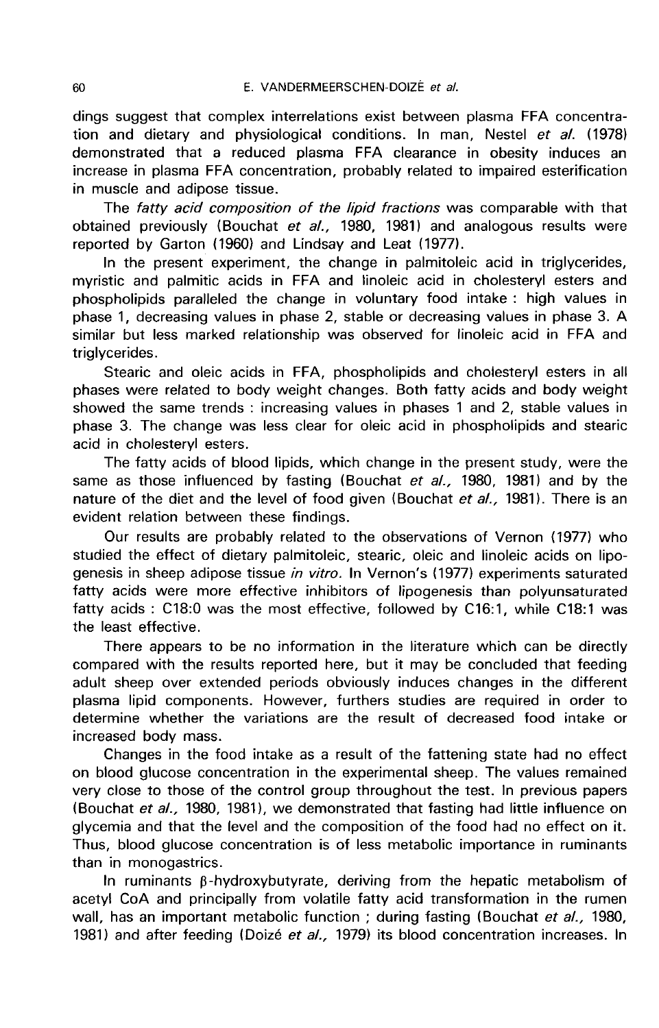dings suggest that complex interrelations exist between plasma FFA concentration and dietary and physiological conditions. In man, Nestel et al. (1978) demonstrated that a reduced plasma FFA clearance in obesity induces an increase in plasma FFA concentration, probably related to impaired esterification in muscle and adipose tissue.

The fatty acid composition of the lipid fractions was comparable with that obtained previously (Bouchat et al., 1980, 1981) and analogous results were reported by Garton (1960) and Lindsay and Leat (1977).

In the present experiment, the change in palmitoleic acid in triglycerides, myristic and palmitic acids in FFA and linoleic acid in cholesteryl esters and phospholipids paralleled the change in voluntary food intake : high values in phase 1, decreasing values in phase 2, stable or decreasing values in phase 3. A similar but less marked relationship was observed for linoleic acid in FFA and triglycerides.

Stearic and oleic acids in FFA, phospholipids and cholesteryl esters in all phases were related to body weight changes. Both fatty acids and body weight showed the same trends : increasing values in phases 1 and 2, stable values in phase 3. The change was less clear for oleic acid in phospholipids and stearic acid in cholesteryl esters.

The fatty acids of blood lipids, which change in the present study, were the same as those influenced by fasting (Bouchat et al., 1980, 1981) and by the nature of the diet and the level of food given (Bouchat et  $aL$ , 1981). There is an evident relation between these findings.

Our results are probably related to the observations of Vernon (1977) who studied the effect of dietary palmitoleic, stearic, oleic and linoleic acids on lipogenesis in sheep adipose tissue in vitro. In Vernon's (1977) experiments saturated fatty acids were more effective inhibitors of lipogenesis than polyunsaturated fatty acids : C18:0 was the most effective, followed by C16:1, while C18:1 was the least effective.

There appears to be no information in the literature which can be directly compared with the results reported here, but it may be concluded that feeding adult sheep over extended periods obviously induces changes in the different plasma lipid components. However, furthers studies are required in order to determine whether the variations are the result of decreased food intake or increased body mass.

Changes in the food intake as a result of the fattening state had no effect on blood glucose concentration in the experimental sheep. The values remained very close to those of the control group throughout the test. In previous papers (Bouchat et al., 1980, 1981), we demonstrated that fasting had little influence on glycemia and that the level and the composition of the food had no effect on it. Thus, blood glucose concentration is of less metabolic importance in ruminants than in monogastrics.

In ruminants  $\beta$ -hydroxybutyrate, deriving from the hepatic metabolism of acetyl CoA and principally from volatile fatty acid transformation in the rumen wall, has an important metabolic function; during fasting (Bouchat et al., 1980, 1981) and after feeding (Doizé et al., 1979) its blood concentration increases. In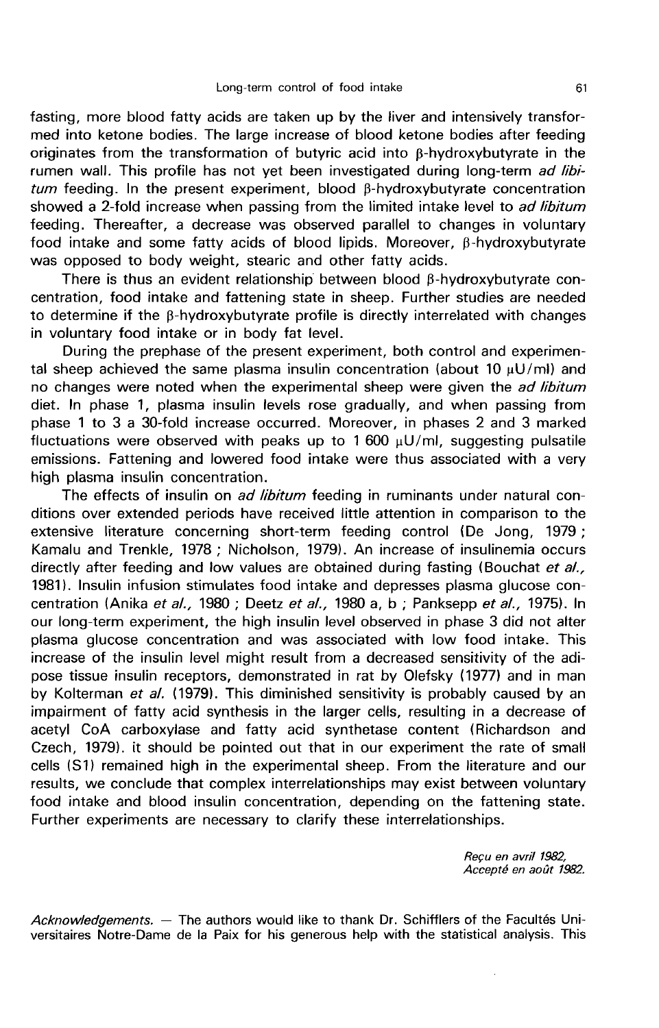fasting, more blood fatty acids are taken up by the liver and intensively transformed into ketone bodies. The large increase of blood ketone bodies after feeding originates from the transformation of butyric acid into  $\beta$ -hydroxybutyrate in the rumen wall. This profile has not yet been investigated during long-term ad libitum feeding. In the present experiment, blood B-hydroxybutyrate concentration showed a 2-fold increase when passing from the limited intake level to ad libitum feeding. Thereafter, a decrease was observed parallel to changes in voluntary food intake and some fatty acids of blood lipids. Moreover,  $\beta$ -hydroxybutyrate was opposed to body weight, stearic and other fatty acids.

There is thus an evident relationship between blood  $\beta$ -hydroxybutyrate concentration, food intake and fattening state in sheep. Further studies are needed to determine if the  $\beta$ -hydroxybutyrate profile is directly interrelated with changes in voluntary food intake or in body fat level.

During the prephase of the present experiment, both control and experimental sheep achieved the same plasma insulin concentration (about 10  $\mu$ U/ml) and no changes were noted when the experimental sheep were given the *ad libitum* diet. In phase 1, plasma insulin levels rose gradually, and when passing from phase 1 to 3 a 30-fold increase occurred. Moreover, in phases 2 and 3 marked fluctuations were observed with peaks up to 1 600  $\mu$ U/ml, suggesting pulsatile emissions. Fattening and lowered food intake were thus associated with a very high plasma insulin concentration.

The effects of insulin on *ad libitum* feeding in ruminants under natural conditions over extended periods have received little attention in comparison to the extensive literature concerning short-term feeding control (De Jong, 1979 ; Kamalu and Trenkle, 1978 ; Nicholson, 1979). An increase of insulinemia occurs directly after feeding and low values are obtained during fasting (Bouchat et al., 1981). Insulin infusion stimulates food intake and depresses plasma glucose concentration (Anika et al., 1980 ; Deetz et al., 1980 a, b ; Panksepp et al., 1975). In our long-term experiment, the high insulin level observed in phase 3 did not alter plasma glucose concentration and was associated with low food intake. This increase of the insulin level might result from a decreased sensitivity of the adipose tissue insulin receptors, demonstrated in rat by Olefsky (1977) and in man by Kolterman et al. (1979). This diminished sensitivity is probably caused by an impairment of fatty acid synthesis in the larger cells, resulting in a decrease of acetyl CoA carboxylase and fatty acid synthetase content (Richardson and Czech, 1979). it should be pointed out that in our experiment the rate of small cells (S1) remained high in the experimental sheep. From the literature and our results, we conclude that complex interrelationships may exist between voluntary food intake and blood insulin concentration, depending on the fattening state. Further experiments are necessary to clarify these interrelationships.

> Reçu en avril 1962, Accepté en août 1982.

Acknowledgements. — The authors would like to thank Dr. Schifflers of the Facultés Universitaires Notre-Dame de la Paix for his generous help with the statistical analysis. This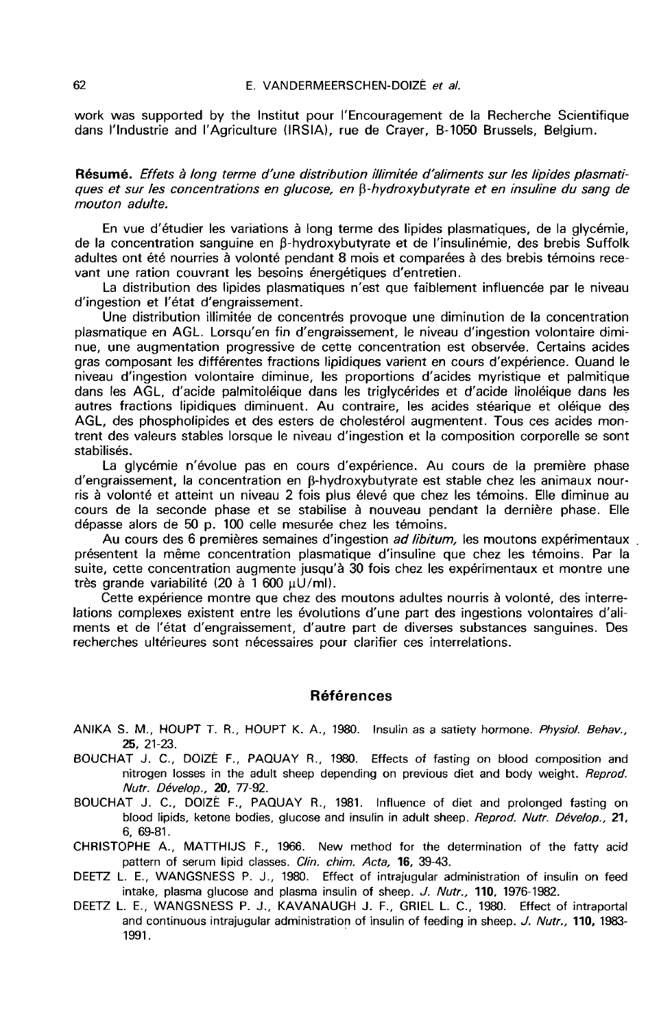work was supported by the Institut pour I'Encouragement de la Recherche Scientifique dans l'industrie and I'Agriculture (IRSIA), rue de Crayer, B-1050 Brussels, Belgium.

Résumé. Effets à long terme d'une distribution illimitée d'aliments sur les lipides plasmatiques et sur les concentrations en glucose, en B-hydroxybutyrate et en insuline du sang de mouton adulte.

En vue d'étudier les variations à long terme des lipides plasmatiques, de la glycémie, de la concentration sanguine en β-hydroxybutyrate et de l'insulinémie, des brebis Suffolk adultes ont été nourries à volonté pendant 8 mois et comparées à des brebis témoins recevant une ration couvrant les besoins énergétiques d'entretien.

La distribution des lipides plasmatiques n'est que faiblement influencée par le niveau d'ingestion et l'état d'engraissement.

Une distribution illimitée de concentrés provoque une diminution de la concentration plasmatique en AGL. Lorsqu'en fin d'engraissement, le niveau d'ingestion volontaire diminue, une augmentation progressive de cette concentration est observée. Certains acides gras composant les différentes fractions lipidiques varient en cours d'expérience. Quand le niveau d'ingestion volontaire diminue, les proportions d'acides myristique et palmitique dans les AGL, d'acide palmitoléique dans les triglycérides et d'acide linoléique dans les autres fractions lipidiques diminuent. Au contraire, les acides stéarique et oléique des AGL, des phospholipides et des esters de cholestérol augmentent. Tous ces acides montrent des valeurs stables lorsque le niveau d'ingestion et la composition corporelle se sont stabilisés.

La glycémie n'évolue pas en cours d'expérience. Au cours de la première phase d'engraissement, la concentration en ß-hydroxybutyrate est stable chez les animaux nourris à volonté et atteint un niveau 2 fois plus élevé que chez les témoins. Elle diminue au cours de la seconde phase et se stabilise à nouveau pendant la dernière phase. Elle dépasse alors de 50 p. 100 celle mesurée chez les témoins.

Au cours des 6 premières semaines d'ingestion *ad libitum*, les moutons expérimentaux présentent la même concentration plasmatique d'insuline que chez les témoins. Par la suite, cette concentration augmente jusqu'à 30 fois chez les expérimentaux et montre une très grande variabilité (20 à 1 600  $\mu$ U/ml).

Cette expérience montre que chez des moutons adultes nourris à volonté, des interrelations complexes existent entre les évolutions d'une part des ingestions volontaires d'aliments et de l'état d'engraissement, d'autre part de diverses substances sanguines. Des recherches ultérieures sont nécessaires pour clarifier ces interrelations.

#### Références

- ANIKA S. M., HOUPT T. R., HOUPT K. A., 1980. Insulin as a satiety hormone. Physiol. Behav., 25, 21-23.
- BOUCHAT J. C., DOIZÉ F., PAQUAY R., 1980. Effects of fasting on blood composition and nitrogen losses in the adult sheep depending on previous diet and body weight. Reprod. Nutr. Dévelop., 20, 77-92.
- BOUCHAT J. C., DOIZÉ F., PAQUAY R., 1981. Influence of diet and prolonged fasting on blood lipids, ketone bodies, glucose and insulin in adult sheep. Reprod. Nutr. Dévelop., 21, 6, 69-81.
- CHRISTOPHE A., MATTHIJS F., 1966. New method for the determination of the fatty acid pattern of serum lipid classes. Clin. chim. Acta, 16, 39-43.
- DEETZ L. E., WANGSNESS P. J., 1980. Effect of intrajugular administration of insulin on feed intake, plasma glucose and plasma insulin of sheep. J. Nutr., 110, 1976-1982.
- DEETZ L. E., WANGSNESS P. J., KAVANAUGH J. F., GRIEL L. C., 1980. Effect of intraportal and continuous intrajugular administration of insulin of feeding in sheep. J. Nutr., 110, 1983-1991.